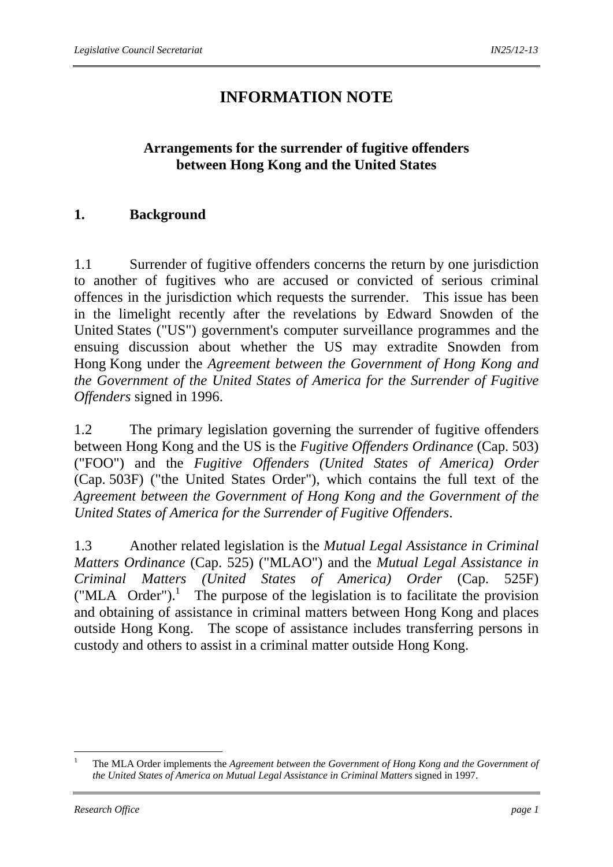# **INFORMATION NOTE**

# **Arrangements for the surrender of fugitive offenders between Hong Kong and the United States**

#### **1. Background**

1.1 Surrender of fugitive offenders concerns the return by one jurisdiction to another of fugitives who are accused or convicted of serious criminal offences in the jurisdiction which requests the surrender. This issue has been in the limelight recently after the revelations by Edward Snowden of the United States ("US") government's computer surveillance programmes and the ensuing discussion about whether the US may extradite Snowden from Hong Kong under the *Agreement between the Government of Hong Kong and the Government of the United States of America for the Surrender of Fugitive Offenders* signed in 1996.

1.2 The primary legislation governing the surrender of fugitive offenders between Hong Kong and the US is the *Fugitive Offenders Ordinance* (Cap. 503) ("FOO") and the *Fugitive Offenders (United States of America) Order*  (Cap. 503F) ("the United States Order"), which contains the full text of the *Agreement between the Government of Hong Kong and the Government of the United States of America for the Surrender of Fugitive Offenders*.

1.3 Another related legislation is the *Mutual Legal Assistance in Criminal Matters Ordinance* (Cap. 525) ("MLAO") and the *Mutual Legal Assistance in Criminal Matters (United States of America) Order* (Cap. 525F)  $("MLA Order").$ <sup>1</sup> The purpose of the legislation is to facilitate the provision and obtaining of assistance in criminal matters between Hong Kong and places outside Hong Kong. The scope of assistance includes transferring persons in custody and others to assist in a criminal matter outside Hong Kong.

1

<sup>1</sup> The MLA Order implements the *Agreement between the Government of Hong Kong and the Government of the United States of America on Mutual Legal Assistance in Criminal Matters* signed in 1997.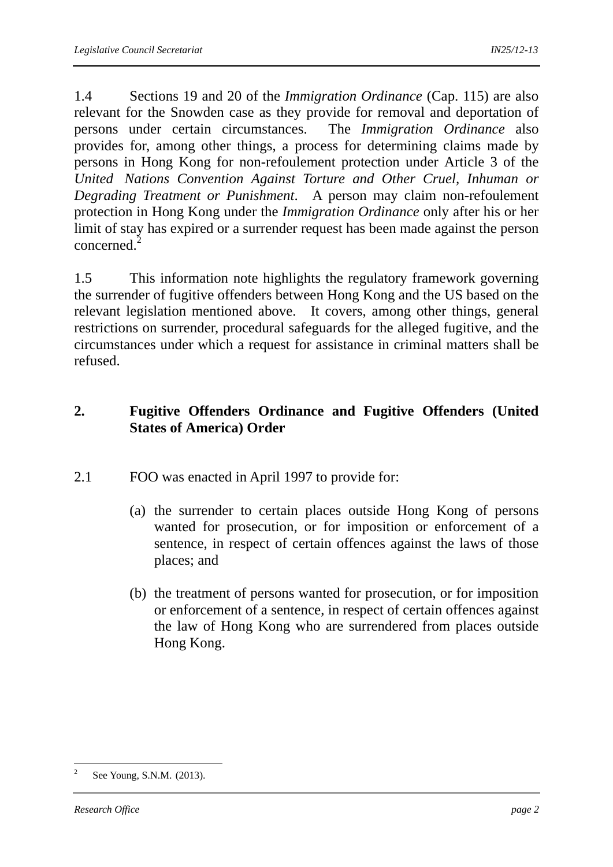1.4 Sections 19 and 20 of the *Immigration Ordinance* (Cap. 115) are also relevant for the Snowden case as they provide for removal and deportation of persons under certain circumstances. The *Immigration Ordinance* also provides for, among other things, a process for determining claims made by persons in Hong Kong for non-refoulement protection under Article 3 of the *United Nations Convention Against Torture and Other Cruel, Inhuman or Degrading Treatment or Punishment*. A person may claim non-refoulement protection in Hong Kong under the *Immigration Ordinance* only after his or her limit of stay has expired or a surrender request has been made against the person concerned.<sup>2</sup>

1.5 This information note highlights the regulatory framework governing the surrender of fugitive offenders between Hong Kong and the US based on the relevant legislation mentioned above. It covers, among other things, general restrictions on surrender, procedural safeguards for the alleged fugitive, and the circumstances under which a request for assistance in criminal matters shall be refused.

# **2. Fugitive Offenders Ordinance and Fugitive Offenders (United States of America) Order**

- 2.1 FOO was enacted in April 1997 to provide for:
	- (a) the surrender to certain places outside Hong Kong of persons wanted for prosecution, or for imposition or enforcement of a sentence, in respect of certain offences against the laws of those places; and
	- (b) the treatment of persons wanted for prosecution, or for imposition or enforcement of a sentence, in respect of certain offences against the law of Hong Kong who are surrendered from places outside Hong Kong.

 $\frac{1}{2}$ See Young, S.N.M. (2013).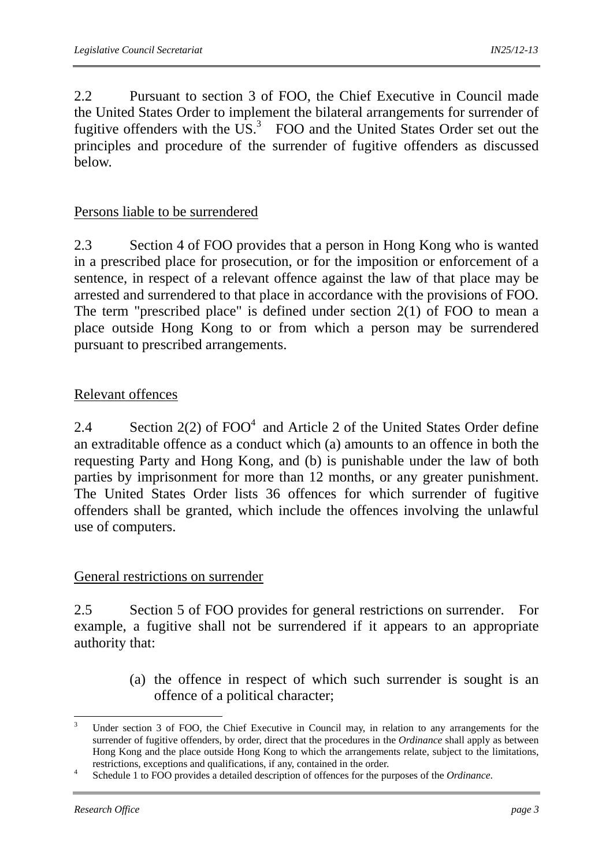2.2 Pursuant to section 3 of FOO, the Chief Executive in Council made the United States Order to implement the bilateral arrangements for surrender of fugitive offenders with the  $\overline{US}^3$  FOO and the United States Order set out the principles and procedure of the surrender of fugitive offenders as discussed below.

### Persons liable to be surrendered

2.3 Section 4 of FOO provides that a person in Hong Kong who is wanted in a prescribed place for prosecution, or for the imposition or enforcement of a sentence, in respect of a relevant offence against the law of that place may be arrested and surrendered to that place in accordance with the provisions of FOO. The term "prescribed place" is defined under section 2(1) of FOO to mean a place outside Hong Kong to or from which a person may be surrendered pursuant to prescribed arrangements.

## Relevant offences

2.4 Section  $2(2)$  of  $FOO<sup>4</sup>$  and Article 2 of the United States Order define an extraditable offence as a conduct which (a) amounts to an offence in both the requesting Party and Hong Kong, and (b) is punishable under the law of both parties by imprisonment for more than 12 months, or any greater punishment. The United States Order lists 36 offences for which surrender of fugitive offenders shall be granted, which include the offences involving the unlawful use of computers.

#### General restrictions on surrender

2.5 Section 5 of FOO provides for general restrictions on surrender. For example, a fugitive shall not be surrendered if it appears to an appropriate authority that:

> (a) the offence in respect of which such surrender is sought is an offence of a political character;

1

<sup>3</sup> Under section 3 of FOO, the Chief Executive in Council may, in relation to any arrangements for the surrender of fugitive offenders, by order, direct that the procedures in the *Ordinance* shall apply as between Hong Kong and the place outside Hong Kong to which the arrangements relate, subject to the limitations, restrictions, exceptions and qualifications, if any, contained in the order.

Schedule 1 to FOO provides a detailed description of offences for the purposes of the *Ordinance*.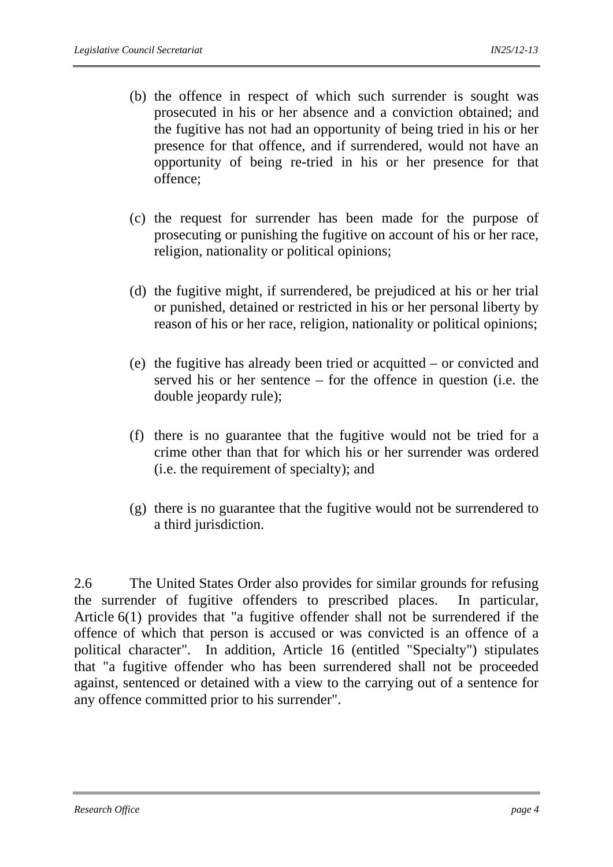- (b) the offence in respect of which such surrender is sought was prosecuted in his or her absence and a conviction obtained; and the fugitive has not had an opportunity of being tried in his or her presence for that offence, and if surrendered, would not have an opportunity of being re-tried in his or her presence for that offence;
- (c) the request for surrender has been made for the purpose of prosecuting or punishing the fugitive on account of his or her race, religion, nationality or political opinions;
- (d) the fugitive might, if surrendered, be prejudiced at his or her trial or punished, detained or restricted in his or her personal liberty by reason of his or her race, religion, nationality or political opinions;
- (e) the fugitive has already been tried or acquitted or convicted and served his or her sentence – for the offence in question (i.e. the double jeopardy rule);
- (f) there is no guarantee that the fugitive would not be tried for a crime other than that for which his or her surrender was ordered (i.e. the requirement of specialty); and
- (g) there is no guarantee that the fugitive would not be surrendered to a third jurisdiction.

2.6 The United States Order also provides for similar grounds for refusing the surrender of fugitive offenders to prescribed places. In particular, Article 6(1) provides that "a fugitive offender shall not be surrendered if the offence of which that person is accused or was convicted is an offence of a political character". In addition, Article 16 (entitled "Specialty") stipulates that "a fugitive offender who has been surrendered shall not be proceeded against, sentenced or detained with a view to the carrying out of a sentence for any offence committed prior to his surrender".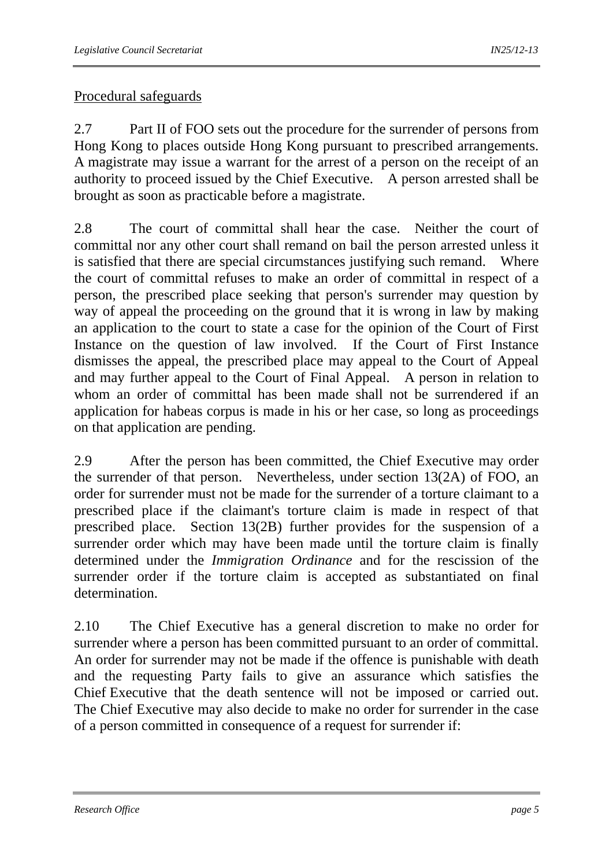# Procedural safeguards

2.7 Part II of FOO sets out the procedure for the surrender of persons from Hong Kong to places outside Hong Kong pursuant to prescribed arrangements. A magistrate may issue a warrant for the arrest of a person on the receipt of an authority to proceed issued by the Chief Executive. A person arrested shall be brought as soon as practicable before a magistrate.

2.8 The court of committal shall hear the case. Neither the court of committal nor any other court shall remand on bail the person arrested unless it is satisfied that there are special circumstances justifying such remand. Where the court of committal refuses to make an order of committal in respect of a person, the prescribed place seeking that person's surrender may question by way of appeal the proceeding on the ground that it is wrong in law by making an application to the court to state a case for the opinion of the Court of First Instance on the question of law involved. If the Court of First Instance dismisses the appeal, the prescribed place may appeal to the Court of Appeal and may further appeal to the Court of Final Appeal. A person in relation to whom an order of committal has been made shall not be surrendered if an application for habeas corpus is made in his or her case, so long as proceedings on that application are pending.

2.9 After the person has been committed, the Chief Executive may order the surrender of that person. Nevertheless, under section 13(2A) of FOO, an order for surrender must not be made for the surrender of a torture claimant to a prescribed place if the claimant's torture claim is made in respect of that prescribed place. Section 13(2B) further provides for the suspension of a surrender order which may have been made until the torture claim is finally determined under the *Immigration Ordinance* and for the rescission of the surrender order if the torture claim is accepted as substantiated on final determination.

2.10 The Chief Executive has a general discretion to make no order for surrender where a person has been committed pursuant to an order of committal. An order for surrender may not be made if the offence is punishable with death and the requesting Party fails to give an assurance which satisfies the Chief Executive that the death sentence will not be imposed or carried out. The Chief Executive may also decide to make no order for surrender in the case of a person committed in consequence of a request for surrender if: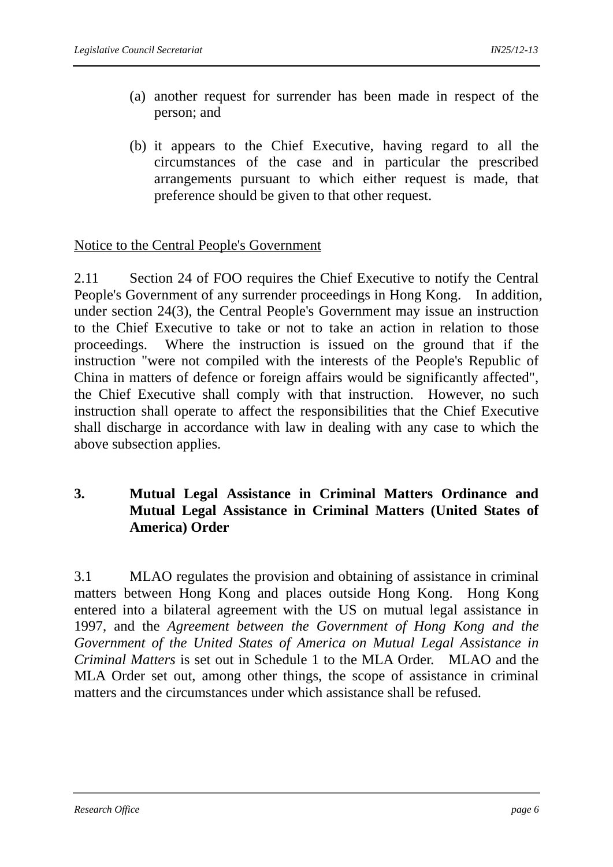- (a) another request for surrender has been made in respect of the person; and
- (b) it appears to the Chief Executive, having regard to all the circumstances of the case and in particular the prescribed arrangements pursuant to which either request is made, that preference should be given to that other request.

#### Notice to the Central People's Government

2.11 Section 24 of FOO requires the Chief Executive to notify the Central People's Government of any surrender proceedings in Hong Kong. In addition, under section 24(3), the Central People's Government may issue an instruction to the Chief Executive to take or not to take an action in relation to those proceedings. Where the instruction is issued on the ground that if the instruction "were not compiled with the interests of the People's Republic of China in matters of defence or foreign affairs would be significantly affected", the Chief Executive shall comply with that instruction. However, no such instruction shall operate to affect the responsibilities that the Chief Executive shall discharge in accordance with law in dealing with any case to which the above subsection applies.

#### **3. Mutual Legal Assistance in Criminal Matters Ordinance and Mutual Legal Assistance in Criminal Matters (United States of America) Order**

3.1 MLAO regulates the provision and obtaining of assistance in criminal matters between Hong Kong and places outside Hong Kong. Hong Kong entered into a bilateral agreement with the US on mutual legal assistance in 1997, and the *Agreement between the Government of Hong Kong and the Government of the United States of America on Mutual Legal Assistance in Criminal Matters* is set out in Schedule 1 to the MLA Order. MLAO and the MLA Order set out, among other things, the scope of assistance in criminal matters and the circumstances under which assistance shall be refused.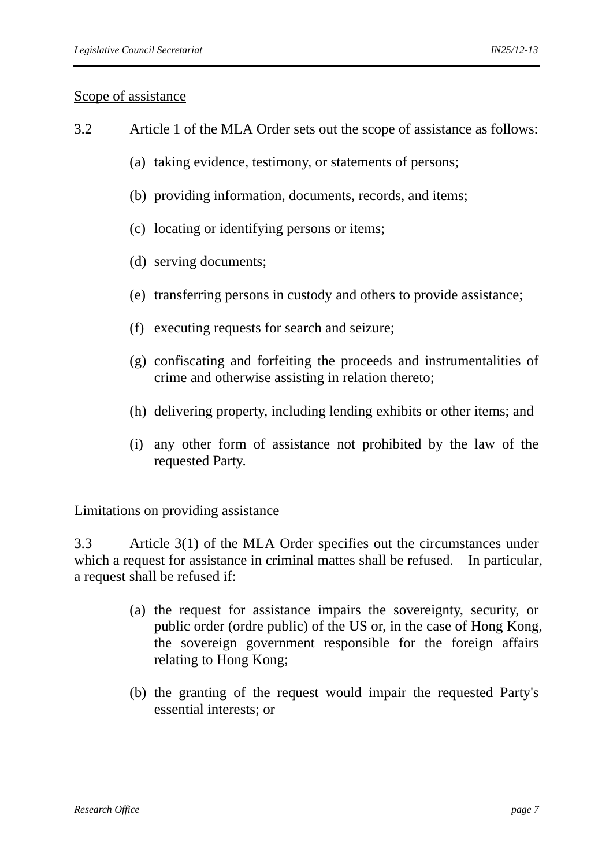#### Scope of assistance

- 3.2 Article 1 of the MLA Order sets out the scope of assistance as follows:
	- (a) taking evidence, testimony, or statements of persons;
	- (b) providing information, documents, records, and items;
	- (c) locating or identifying persons or items;
	- (d) serving documents;
	- (e) transferring persons in custody and others to provide assistance;
	- (f) executing requests for search and seizure;
	- (g) confiscating and forfeiting the proceeds and instrumentalities of crime and otherwise assisting in relation thereto;
	- (h) delivering property, including lending exhibits or other items; and
	- (i) any other form of assistance not prohibited by the law of the requested Party.

#### Limitations on providing assistance

3.3 Article 3(1) of the MLA Order specifies out the circumstances under which a request for assistance in criminal mattes shall be refused. In particular, a request shall be refused if:

- (a) the request for assistance impairs the sovereignty, security, or public order (ordre public) of the US or, in the case of Hong Kong, the sovereign government responsible for the foreign affairs relating to Hong Kong;
- (b) the granting of the request would impair the requested Party's essential interests; or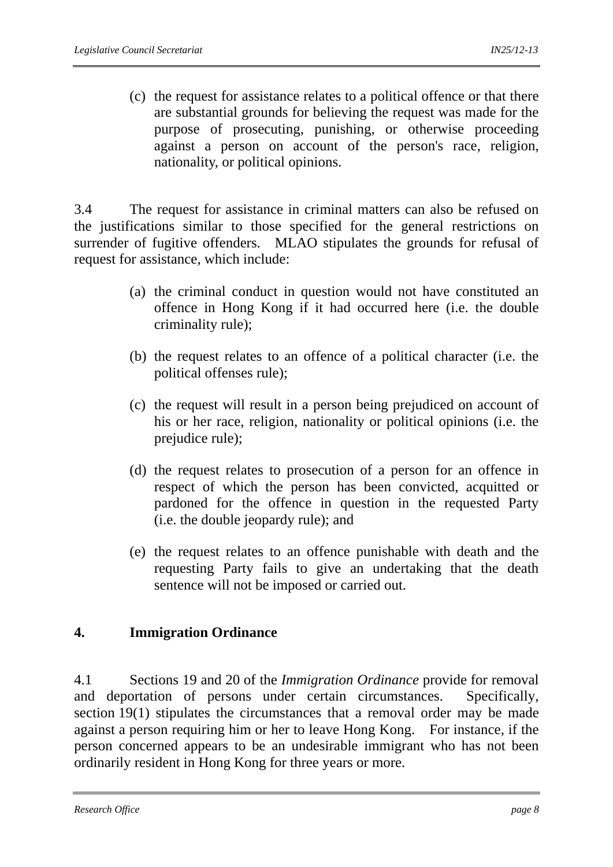(c) the request for assistance relates to a political offence or that there are substantial grounds for believing the request was made for the purpose of prosecuting, punishing, or otherwise proceeding against a person on account of the person's race, religion, nationality, or political opinions.

3.4 The request for assistance in criminal matters can also be refused on the justifications similar to those specified for the general restrictions on surrender of fugitive offenders. MLAO stipulates the grounds for refusal of request for assistance, which include:

- (a) the criminal conduct in question would not have constituted an offence in Hong Kong if it had occurred here (i.e. the double criminality rule);
- (b) the request relates to an offence of a political character (i.e. the political offenses rule);
- (c) the request will result in a person being prejudiced on account of his or her race, religion, nationality or political opinions (i.e. the prejudice rule);
- (d) the request relates to prosecution of a person for an offence in respect of which the person has been convicted, acquitted or pardoned for the offence in question in the requested Party (i.e. the double jeopardy rule); and
- (e) the request relates to an offence punishable with death and the requesting Party fails to give an undertaking that the death sentence will not be imposed or carried out.

# **4. Immigration Ordinance**

4.1 Sections 19 and 20 of the *Immigration Ordinance* provide for removal and deportation of persons under certain circumstances. Specifically, section 19(1) stipulates the circumstances that a removal order may be made against a person requiring him or her to leave Hong Kong. For instance, if the person concerned appears to be an undesirable immigrant who has not been ordinarily resident in Hong Kong for three years or more.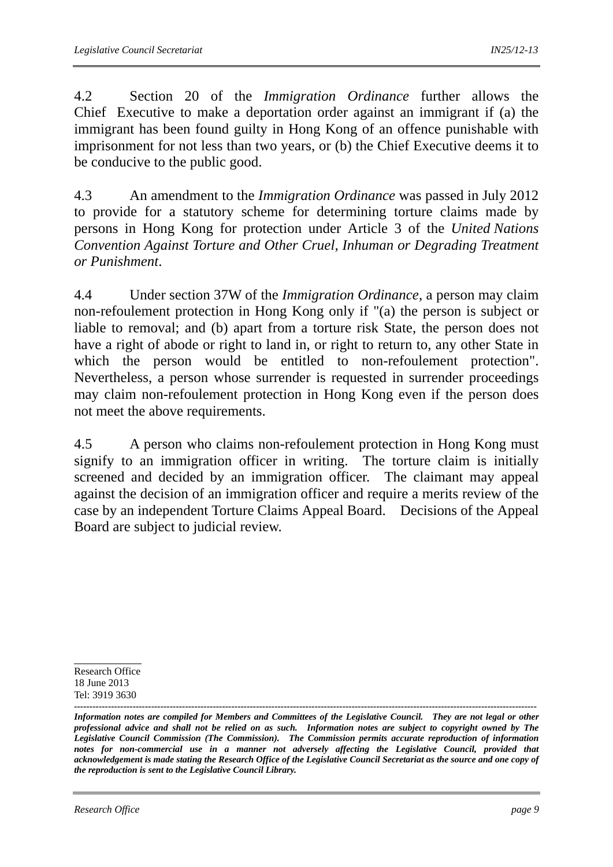4.2 Section 20 of the *Immigration Ordinance* further allows the Chief Executive to make a deportation order against an immigrant if (a) the immigrant has been found guilty in Hong Kong of an offence punishable with imprisonment for not less than two years, or (b) the Chief Executive deems it to be conducive to the public good.

4.3 An amendment to the *Immigration Ordinance* was passed in July 2012 to provide for a statutory scheme for determining torture claims made by persons in Hong Kong for protection under Article 3 of the *United Nations Convention Against Torture and Other Cruel, Inhuman or Degrading Treatment or Punishment*.

4.4 Under section 37W of the *Immigration Ordinance*, a person may claim non-refoulement protection in Hong Kong only if "(a) the person is subject or liable to removal; and (b) apart from a torture risk State, the person does not have a right of abode or right to land in, or right to return to, any other State in which the person would be entitled to non-refoulement protection". Nevertheless, a person whose surrender is requested in surrender proceedings may claim non-refoulement protection in Hong Kong even if the person does not meet the above requirements.

4.5 A person who claims non-refoulement protection in Hong Kong must signify to an immigration officer in writing. The torture claim is initially screened and decided by an immigration officer. The claimant may appeal against the decision of an immigration officer and require a merits review of the case by an independent Torture Claims Appeal Board. Decisions of the Appeal Board are subject to judicial review.

Research Office 18 June 2013 Tel: 3919 3630

*<sup>------------------------------------------------------------------------------------------------------------------------------------------------------</sup> Information notes are compiled for Members and Committees of the Legislative Council. They are not legal or other professional advice and shall not be relied on as such. Information notes are subject to copyright owned by The Legislative Council Commission (The Commission). The Commission permits accurate reproduction of information notes for non-commercial use in a manner not adversely affecting the Legislative Council, provided that acknowledgement is made stating the Research Office of the Legislative Council Secretariat as the source and one copy of the reproduction is sent to the Legislative Council Library.*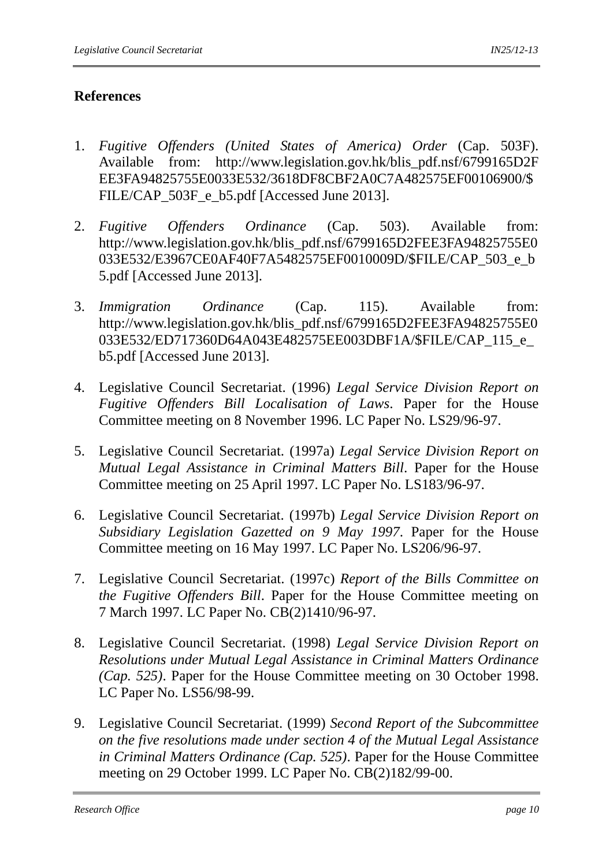## **References**

- 1. *Fugitive Offenders (United States of America) Order* (Cap. 503F). Available from: http://www.legislation.gov.hk/blis\_pdf.nsf/6799165D2F EE3FA94825755E0033E532/3618DF8CBF2A0C7A482575EF00106900/\$ FILE/CAP\_503F\_e\_b5.pdf [Accessed June 2013].
- 2. *Fugitive Offenders Ordinance* (Cap. 503). Available from: http://www.legislation.gov.hk/blis\_pdf.nsf/6799165D2FEE3FA94825755E0 033E532/E3967CE0AF40F7A5482575EF0010009D/\$FILE/CAP\_503\_e\_b 5.pdf [Accessed June 2013].
- 3. *Immigration Ordinance* (Cap. 115). Available from: http://www.legislation.gov.hk/blis\_pdf.nsf/6799165D2FEE3FA94825755E0 033E532/ED717360D64A043E482575EE003DBF1A/\$FILE/CAP\_115\_e b5.pdf [Accessed June 2013].
- 4. Legislative Council Secretariat. (1996) *Legal Service Division Report on Fugitive Offenders Bill Localisation of Laws*. Paper for the House Committee meeting on 8 November 1996. LC Paper No. LS29/96-97.
- 5. Legislative Council Secretariat. (1997a) *Legal Service Division Report on Mutual Legal Assistance in Criminal Matters Bill*. Paper for the House Committee meeting on 25 April 1997. LC Paper No. LS183/96-97.
- 6. Legislative Council Secretariat. (1997b) *Legal Service Division Report on Subsidiary Legislation Gazetted on 9 May 1997*. Paper for the House Committee meeting on 16 May 1997. LC Paper No. LS206/96-97.
- 7. Legislative Council Secretariat. (1997c) *Report of the Bills Committee on the Fugitive Offenders Bill*. Paper for the House Committee meeting on 7 March 1997. LC Paper No. CB(2)1410/96-97.
- 8. Legislative Council Secretariat. (1998) *Legal Service Division Report on Resolutions under Mutual Legal Assistance in Criminal Matters Ordinance (Cap. 525)*. Paper for the House Committee meeting on 30 October 1998. LC Paper No. LS56/98-99.
- 9. Legislative Council Secretariat. (1999) *Second Report of the Subcommittee on the five resolutions made under section 4 of the Mutual Legal Assistance in Criminal Matters Ordinance (Cap. 525)*. Paper for the House Committee meeting on 29 October 1999. LC Paper No. CB(2)182/99-00.